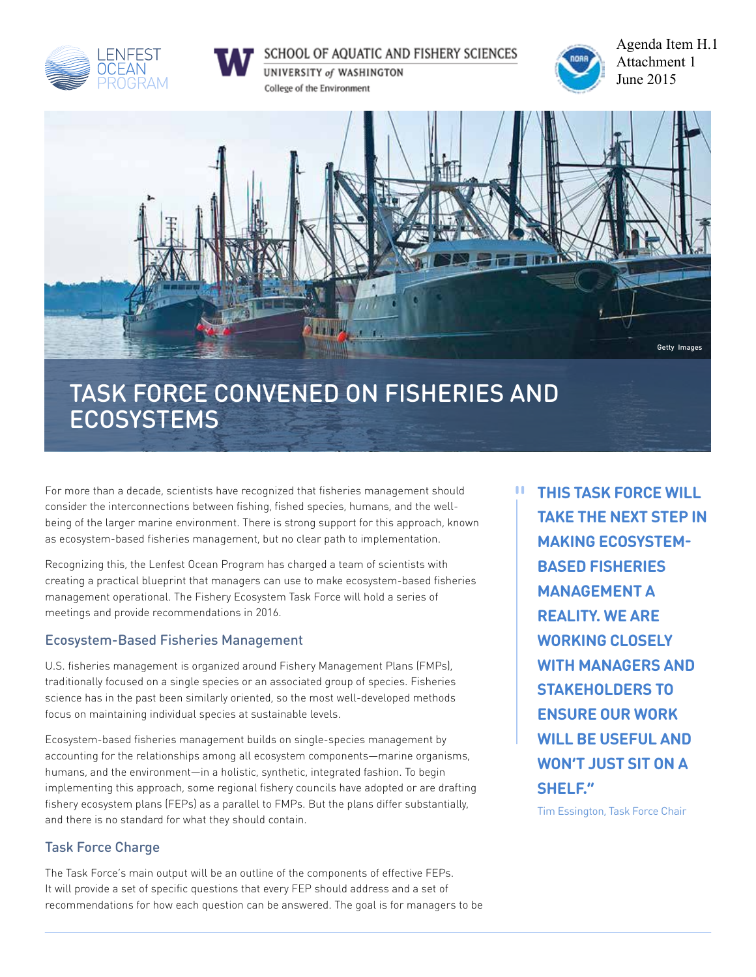



## SCHOOL OF AQUATIC AND FISHERY SCIENCES

UNIVERSITY of WASHINGTON College of the Environment



Agenda Item H.1 Attachment 1 June 2015



# TASK FORCE CONVENed on Fisheries and **ECOSYSTEMS**

For more than a decade, scientists have recognized that fisheries management should consider the interconnections between fishing, fished species, humans, and the wellbeing of the larger marine environment. There is strong support for this approach, known as ecosystem-based fisheries management, but no clear path to implementation.

Recognizing this, the Lenfest Ocean Program has charged a team of scientists with creating a practical blueprint that managers can use to make ecosystem-based fisheries management operational. The Fishery Ecosystem Task Force will hold a series of meetings and provide recommendations in 2016.

## Ecosystem-Based Fisheries Management

U.S. fisheries management is organized around Fishery Management Plans (FMPs), traditionally focused on a single species or an associated group of species. Fisheries science has in the past been similarly oriented, so the most well-developed methods focus on maintaining individual species at sustainable levels.

Ecosystem-based fisheries management builds on single-species management by accounting for the relationships among all ecosystem components—marine organisms, humans, and the environment—in a holistic, synthetic, integrated fashion. To begin implementing this approach, some regional fishery councils have adopted or are drafting fishery ecosystem plans (FEPs) as a parallel to FMPs. But the plans differ substantially, and there is no standard for what they should contain.

## Task Force Charge

The Task Force's main output will be an outline of the components of effective FEPs. It will provide a set of specific questions that every FEP should address and a set of recommendations for how each question can be answered. The goal is for managers to be **This Task Force will take the next step in making ecosystembased fisheries management a reality. We are working closely with managers and stakeholders to ensure our work will be useful and won't just sit on a shelf."**

п

Tim Essington, Task Force Chair